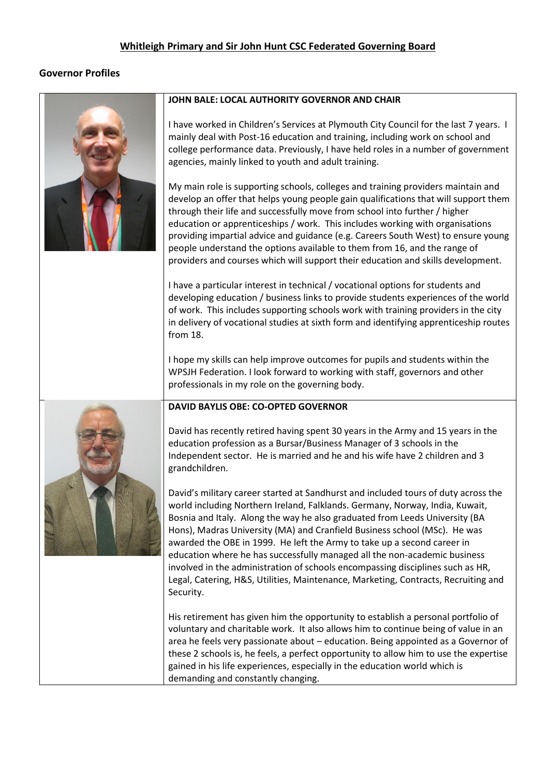# **Whitleigh Primary and Sir John Hunt CSC Federated Governing Board**

# **Governor Profiles**



#### **JOHN BALE: LOCAL AUTHORITY GOVERNOR AND CHAIR**

I have worked in Children's Services at Plymouth City Council for the last 7 years. I mainly deal with Post-16 education and training, including work on school and college performance data. Previously, I have held roles in a number of government agencies, mainly linked to youth and adult training.

My main role is supporting schools, colleges and training providers maintain and develop an offer that helps young people gain qualifications that will support them through their life and successfully move from school into further / higher education or apprenticeships / work. This includes working with organisations providing impartial advice and guidance (e.g. Careers South West) to ensure young people understand the options available to them from 16, and the range of providers and courses which will support their education and skills development.

I have a particular interest in technical / vocational options for students and developing education / business links to provide students experiences of the world of work. This includes supporting schools work with training providers in the city in delivery of vocational studies at sixth form and identifying apprenticeship routes from 18.

I hope my skills can help improve outcomes for pupils and students within the WPSJH Federation. I look forward to working with staff, governors and other professionals in my role on the governing body.



### **DAVID BAYLIS OBE: CO-OPTED GOVERNOR**

David has recently retired having spent 30 years in the Army and 15 years in the education profession as a Bursar/Business Manager of 3 schools in the Independent sector. He is married and he and his wife have 2 children and 3 grandchildren.

David's military career started at Sandhurst and included tours of duty across the world including Northern Ireland, Falklands. Germany, Norway, India, Kuwait, Bosnia and Italy. Along the way he also graduated from Leeds University (BA Hons), Madras University (MA) and Cranfield Business school (MSc). He was awarded the OBE in 1999. He left the Army to take up a second career in education where he has successfully managed all the non-academic business involved in the administration of schools encompassing disciplines such as HR, Legal, Catering, H&S, Utilities, Maintenance, Marketing, Contracts, Recruiting and Security.

His retirement has given him the opportunity to establish a personal portfolio of voluntary and charitable work. It also allows him to continue being of value in an area he feels very passionate about – education. Being appointed as a Governor of these 2 schools is, he feels, a perfect opportunity to allow him to use the expertise gained in his life experiences, especially in the education world which is demanding and constantly changing.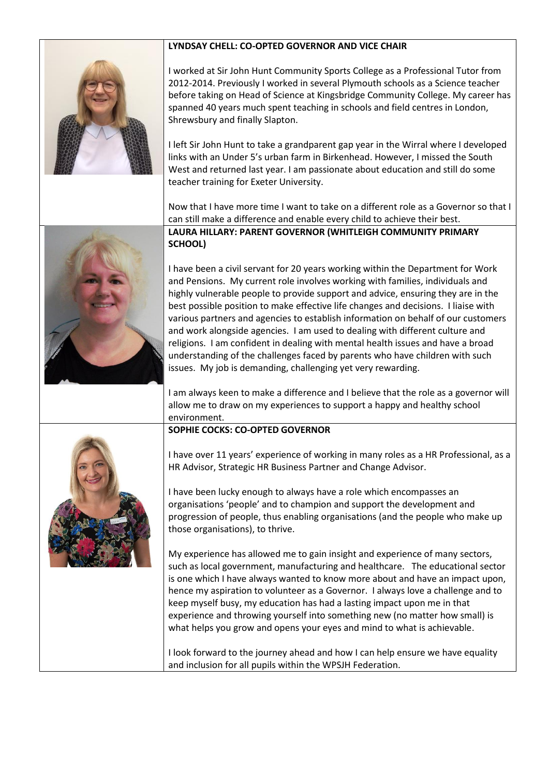

I worked at Sir John Hunt Community Sports College as a Professional Tutor from

**LYNDSAY CHELL: CO-OPTED GOVERNOR AND VICE CHAIR**

2012-2014. Previously I worked in several Plymouth schools as a Science teacher before taking on Head of Science at Kingsbridge Community College. My career has spanned 40 years much spent teaching in schools and field centres in London, Shrewsbury and finally Slapton.

I left Sir John Hunt to take a grandparent gap year in the Wirral where I developed links with an Under 5's urban farm in Birkenhead. However, I missed the South West and returned last year. I am passionate about education and still do some teacher training for Exeter University.

Now that I have more time I want to take on a different role as a Governor so that I can still make a difference and enable every child to achieve their best. **LAURA HILLARY: PARENT GOVERNOR (WHITLEIGH COMMUNITY PRIMARY SCHOOL)**



I have been a civil servant for 20 years working within the Department for Work and Pensions. My current role involves working with families, individuals and highly vulnerable people to provide support and advice, ensuring they are in the best possible position to make effective life changes and decisions. I liaise with various partners and agencies to establish information on behalf of our customers and work alongside agencies. I am used to dealing with different culture and religions. I am confident in dealing with mental health issues and have a broad understanding of the challenges faced by parents who have children with such issues. My job is demanding, challenging yet very rewarding.

I am always keen to make a difference and I believe that the role as a governor will allow me to draw on my experiences to support a happy and healthy school environment.

### **SOPHIE COCKS: CO-OPTED GOVERNOR**

I have over 11 years' experience of working in many roles as a HR Professional, as a HR Advisor, Strategic HR Business Partner and Change Advisor.

I have been lucky enough to always have a role which encompasses an organisations 'people' and to champion and support the development and progression of people, thus enabling organisations (and the people who make up those organisations), to thrive.

My experience has allowed me to gain insight and experience of many sectors, such as local government, manufacturing and healthcare. The educational sector is one which I have always wanted to know more about and have an impact upon, hence my aspiration to volunteer as a Governor. I always love a challenge and to keep myself busy, my education has had a lasting impact upon me in that experience and throwing yourself into something new (no matter how small) is what helps you grow and opens your eyes and mind to what is achievable.

I look forward to the journey ahead and how I can help ensure we have equality and inclusion for all pupils within the WPSJH Federation.